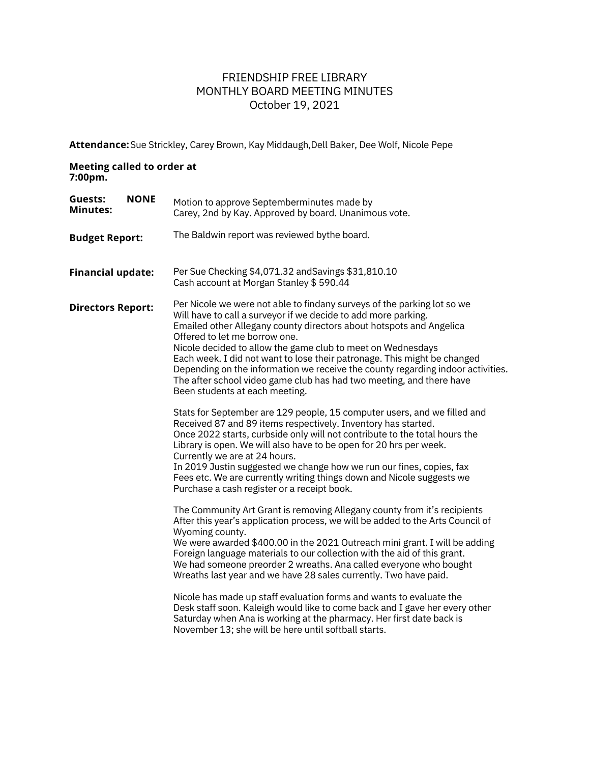## FRIENDSHIP FREE LIBRARY MONTHLY BOARD MEETING MINUTES October 19, 2021

**Attendance:** Sue Strickley, Carey Brown, Kay Middaugh,Dell Baker, Dee Wolf, Nicole Pepe

## **Meeting called to order at 7:00pm.**

| <b>NONE</b><br>Guests:<br><b>Minutes:</b> | Motion to approve Septemberminutes made by<br>Carey, 2nd by Kay. Approved by board. Unanimous vote.                                                                                                                                                                                                                                                                                                                                                                                                                                                                                                                                                                                                                                                                                                                  |
|-------------------------------------------|----------------------------------------------------------------------------------------------------------------------------------------------------------------------------------------------------------------------------------------------------------------------------------------------------------------------------------------------------------------------------------------------------------------------------------------------------------------------------------------------------------------------------------------------------------------------------------------------------------------------------------------------------------------------------------------------------------------------------------------------------------------------------------------------------------------------|
| <b>Budget Report:</b>                     | The Baldwin report was reviewed bythe board.                                                                                                                                                                                                                                                                                                                                                                                                                                                                                                                                                                                                                                                                                                                                                                         |
| <b>Financial update:</b>                  | Per Sue Checking \$4,071.32 and Savings \$31,810.10<br>Cash account at Morgan Stanley \$590.44                                                                                                                                                                                                                                                                                                                                                                                                                                                                                                                                                                                                                                                                                                                       |
| <b>Directors Report:</b>                  | Per Nicole we were not able to findany surveys of the parking lot so we<br>Will have to call a surveyor if we decide to add more parking.<br>Emailed other Allegany county directors about hotspots and Angelica<br>Offered to let me borrow one.<br>Nicole decided to allow the game club to meet on Wednesdays<br>Each week. I did not want to lose their patronage. This might be changed<br>Depending on the information we receive the county regarding indoor activities.<br>The after school video game club has had two meeting, and there have<br>Been students at each meeting.<br>Stats for September are 129 people, 15 computer users, and we filled and<br>Received 87 and 89 items respectively. Inventory has started.<br>Once 2022 starts, curbside only will not contribute to the total hours the |
|                                           | Library is open. We will also have to be open for 20 hrs per week.<br>Currently we are at 24 hours.<br>In 2019 Justin suggested we change how we run our fines, copies, fax<br>Fees etc. We are currently writing things down and Nicole suggests we<br>Purchase a cash register or a receipt book.                                                                                                                                                                                                                                                                                                                                                                                                                                                                                                                  |
|                                           | The Community Art Grant is removing Allegany county from it's recipients<br>After this year's application process, we will be added to the Arts Council of<br>Wyoming county.<br>We were awarded \$400.00 in the 2021 Outreach mini grant. I will be adding<br>Foreign language materials to our collection with the aid of this grant.<br>We had someone preorder 2 wreaths. Ana called everyone who bought<br>Wreaths last year and we have 28 sales currently. Two have paid.<br>Nicole has made up staff evaluation forms and wants to evaluate the<br>Desk staff soon. Kaleigh would like to come back and I gave her every other<br>Saturday when Ana is working at the pharmacy. Her first date back is<br>November 13; she will be here until softball starts.                                               |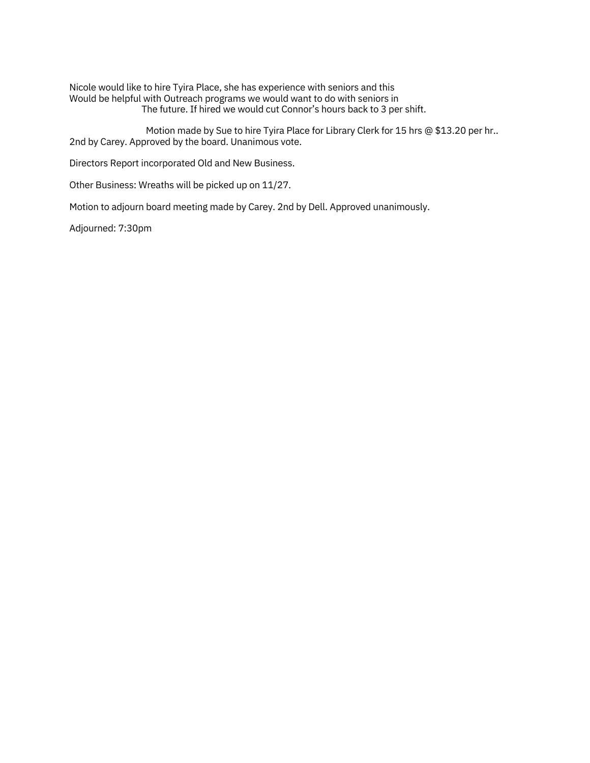Nicole would like to hire Tyira Place, she has experience with seniors and this Would be helpful with Outreach programs we would want to do with seniors in The future. If hired we would cut Connor's hours back to 3 per shift.

Motion made by Sue to hire Tyira Place for Library Clerk for 15 hrs @ \$13.20 per hr.. 2nd by Carey. Approved by the board. Unanimous vote.

Directors Report incorporated Old and New Business.

Other Business: Wreaths will be picked up on 11/27.

Motion to adjourn board meeting made by Carey. 2nd by Dell. Approved unanimously.

Adjourned: 7:30pm